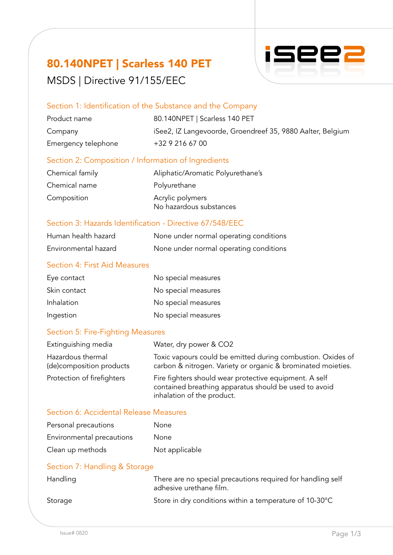## 80.140NPET | Scarless 140 PET MSDS | Directive 91/155/EEC



## Section 1: Identification of the Substance and the Company

| Product name        | 80.140NPET   Scarless 140 PET                              |
|---------------------|------------------------------------------------------------|
| Company             | iSee2, IZ Langevoorde, Groendreef 35, 9880 Aalter, Belgium |
| Emergency telephone | +32 9 216 67 00                                            |

## Section 2: Composition / Information of Ingredients

| Chemical family | Aliphatic/Aromatic Polyurethane's           |
|-----------------|---------------------------------------------|
| Chemical name   | Polyurethane                                |
| Composition     | Acrylic polymers<br>No hazardous substances |

## Section 3: Hazards Identification - Directive 67/548/EEC

| Human health hazard  | None under normal operating conditions |
|----------------------|----------------------------------------|
| Environmental hazard | None under normal operating conditions |

### Section 4: First Aid Measures

| Eye contact  | No special measures |
|--------------|---------------------|
| Skin contact | No special measures |
| Inhalation   | No special measures |
| Ingestion    | No special measures |

### Section 5: Fire-Fighting Measures

| Extinguishing media                            | Water, dry power & CO2                                                                                                                        |
|------------------------------------------------|-----------------------------------------------------------------------------------------------------------------------------------------------|
| Hazardous thermal<br>(de) composition products | Toxic vapours could be emitted during combustion. Oxides of<br>carbon & nitrogen. Variety or organic & brominated moieties.                   |
| Protection of firefighters                     | Fire fighters should wear protective equipment. A self<br>contained breathing apparatus should be used to avoid<br>inhalation of the product. |

### Section 6: Accidental Release Measures

| Personal precautions      | None           |
|---------------------------|----------------|
| Environmental precautions | None           |
| Clean up methods          | Not applicable |

## Section 7: Handling & Storage

| Handling | There are no special precautions required for handling self<br>adhesive urethane film. |
|----------|----------------------------------------------------------------------------------------|
| Storage  | Store in dry conditions within a temperature of 10-30°C                                |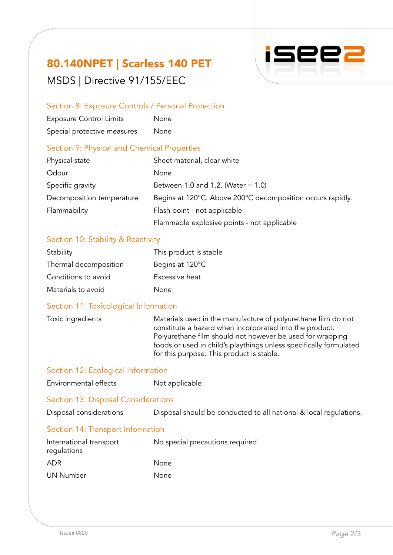# 80.140NPET | Scarless 140 PET MSDS | Directive 91/155/EEC



## Section 8: Exposure Controls / Personal Protection

| <b>Exposure Control Limits</b> | None |
|--------------------------------|------|
| Special protective measures    | None |

## Section 9: Physical and Chemical Properties

| Physical state            | Sheet material, clear white                                |
|---------------------------|------------------------------------------------------------|
| Odour                     | None                                                       |
| Specific gravity          | Between 1.0 and 1.2. (Water = $1.0$ )                      |
| Decomposition temperature | Begins at 120°C. Above 200°C decomposition occurs rapidly. |
| Flammability              | Flash point - not applicable                               |
|                           | Flammable explosive points - not applicable                |

## Section 10: Stability & Reactivity

| Stability             | This product is stable |
|-----------------------|------------------------|
| Thermal decomposition | Begins at 120°C        |
| Conditions to avoid   | Excessive heat         |
| Materials to avoid    | None                   |

## Section 11: Toxicological Information

| Toxic ingredients | Materials used in the manufacture of polyurethane film do not<br>constitute a hazard when incorporated into the product.<br>Polyurethane film should not however be used for wrapping |
|-------------------|---------------------------------------------------------------------------------------------------------------------------------------------------------------------------------------|
|                   | foods or used in child's playthings unless specifically formulated<br>for this purpose. This product is stable.                                                                       |

## Section 12: Ecological Information

| Environmental effects                  | Not applicable                                                    |  |
|----------------------------------------|-------------------------------------------------------------------|--|
| Section 13: Disposal Considerations    |                                                                   |  |
| Disposal considerations                | Disposal should be conducted to all national & local regulations. |  |
| Section 14: Transport Information      |                                                                   |  |
| International transport<br>regulations | No special precautions required                                   |  |
| <b>ADR</b>                             | None                                                              |  |
| <b>UN Number</b>                       | None                                                              |  |